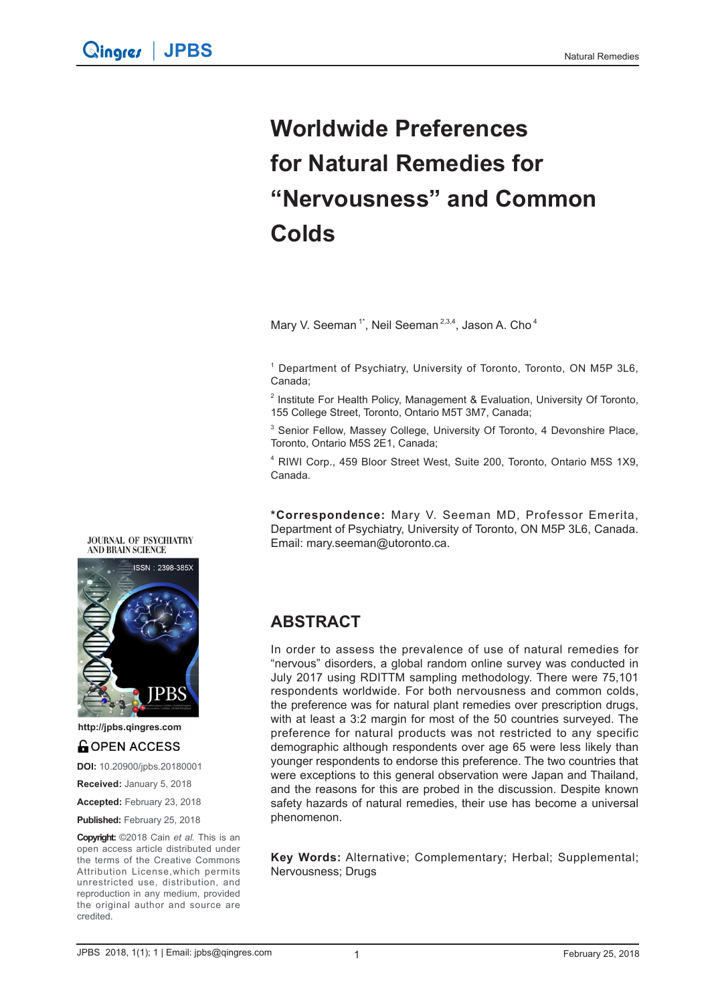# **Worldwide Preferences for Natural Remedies for "Nervousness" and Common Colds**

Mary V. Seeman<sup>1\*</sup>, Neil Seeman<sup>2,3,4</sup>, Jason A. Cho<sup>4</sup>

<sup>1</sup> Department of Psychiatry, University of Toronto, Toronto, ON M5P 3L6, Canada;

<sup>2</sup> Institute For Health Policy, Management & Evaluation, University Of Toronto, 155 College Street, Toronto, Ontario M5T 3M7, Canada;

<sup>3</sup> Senior Fellow, Massey College, University Of Toronto, 4 Devonshire Place, Toronto, Ontario M5S 2E1, Canada;

4 RIWI Corp., 459 Bloor Street West, Suite 200, Toronto, Ontario M5S 1X9, Canada.

**\*Correspondence:** Mary V. Seeman MD, Professor Emerita, Department of Psychiatry, University of Toronto, ON M5P 3L6, Canada. Email: mary.seeman@utoronto.ca.

#### **JOURNAL OF PSYCHIATRY AND BRAIN SCIENCE**



**http://jpbs.qingres.com**

### **GOPEN ACCESS**

**DOI:** 10.20900/jpbs.20180001

**Received:** January 5, 2018

**Accepted:** February 23, 2018

Published: February 25, 2018

**Copyright:** ©2018 Cain *et al.* This is an open access article distributed under the terms of the Creative Commons Attribution License,which permits unrestricted use, distribution, and reproduction in any medium, provided the original author and source are credited.

### **ABSTRACT**

In order to assess the prevalence of use of natural remedies for "nervous" disorders, a global random online survey was conducted in July 2017 using RDITTM sampling methodology. There were 75,101 respondents worldwide. For both nervousness and common colds, the preference was for natural plant remedies over prescription drugs, with at least a 3:2 margin for most of the 50 countries surveyed. The preference for natural products was not restricted to any specific demographic although respondents over age 65 were less likely than younger respondents to endorse this preference. The two countries that were exceptions to this general observation were Japan and Thailand, and the reasons for this are probed in the discussion. Despite known safety hazards of natural remedies, their use has become a universal phenomenon.

**Key Words:** Alternative; Complementary; Herbal; Supplemental; Nervousness; Drugs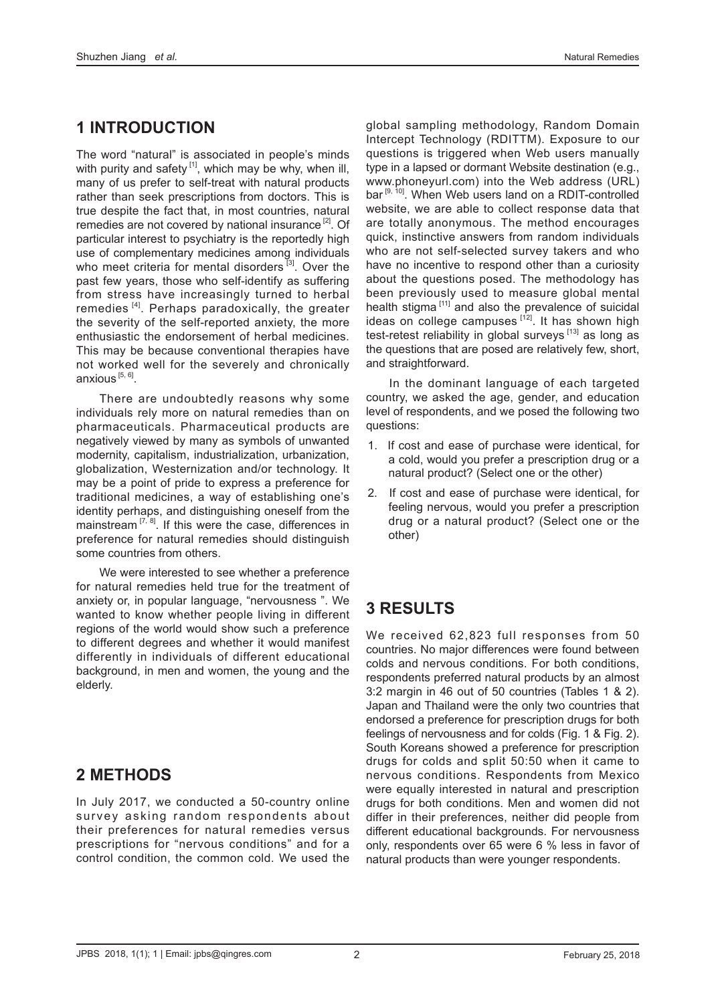# **1 INTRODUCTION**

The word "natural" is associated in people's minds with purity and safety  $[1]$ , which may be why, when ill, many of us prefer to self-treat with natural products rather than seek prescriptions from doctors. This is true despite the fact that, in most countries, natural remedies are not covered by national insurance  $[2]$ . Of particular interest to psychiatry is the reportedly high use of complementary medicines among individuals who meet criteria for mental disorders  $[3]$ . Over the past few years, those who self-identify as suffering from stress have increasingly turned to herbal remedies<sup>[4]</sup>. Perhaps paradoxically, the greater the severity of the self-reported anxiety, the more enthusiastic the endorsement of herbal medicines. This may be because conventional therapies have not worked well for the severely and chronically anxious<sup>[5, 6]</sup>.

There are undoubtedly reasons why some individuals rely more on natural remedies than on pharmaceuticals. Pharmaceutical products are negatively viewed by many as symbols of unwanted modernity, capitalism, industrialization, urbanization, globalization, Westernization and/or technology. It may be a point of pride to express a preference for traditional medicines, a way of establishing one's identity perhaps, and distinguishing oneself from the mainstream  $[7, 8]$ . If this were the case, differences in preference for natural remedies should distinguish some countries from others.

We were interested to see whether a preference for natural remedies held true for the treatment of anxiety or, in popular language, "nervousness ". We wanted to know whether people living in different regions of the world would show such a preference to different degrees and whether it would manifest differently in individuals of different educational background, in men and women, the young and the elderly.

# **2 METHODS**

In July 2017, we conducted a 50-country online survey asking random respondents about their preferences for natural remedies versus prescriptions for "nervous conditions" and for a control condition, the common cold. We used the global sampling methodology, Random Domain Intercept Technology (RDITTM). Exposure to our questions is triggered when Web users manually type in a lapsed or dormant Website destination (e.g., www.phoneyurl.com) into the Web address (URL) bar<sup>[9, 10]</sup>. When Web users land on a RDIT-controlled website, we are able to collect response data that are totally anonymous. The method encourages quick, instinctive answers from random individuals who are not self-selected survey takers and who have no incentive to respond other than a curiosity about the questions posed. The methodology has been previously used to measure global mental health stigma [<sup>11]</sup> and also the prevalence of suicidal ideas on college campuses  $[12]$ . It has shown high test-retest reliability in global surveys  $[13]$  as long as the questions that are posed are relatively few, short, and straightforward.

In the dominant language of each targeted country, we asked the age, gender, and education level of respondents, and we posed the following two questions:

- 1. If cost and ease of purchase were identical, for a cold, would you prefer a prescription drug or a natural product? (Select one or the other)
- 2. If cost and ease of purchase were identical, for feeling nervous, would you prefer a prescription drug or a natural product? (Select one or the other)

# **3 RESULTS**

We received 62,823 full responses from 50 countries. No major differences were found between colds and nervous conditions. For both conditions, respondents preferred natural products by an almost 3:2 margin in 46 out of 50 countries (Tables 1 & 2). Japan and Thailand were the only two countries that endorsed a preference for prescription drugs for both feelings of nervousness and for colds (Fig. 1 & Fig. 2). South Koreans showed a preference for prescription drugs for colds and split 50:50 when it came to nervous conditions. Respondents from Mexico were equally interested in natural and prescription drugs for both conditions. Men and women did not differ in their preferences, neither did people from different educational backgrounds. For nervousness only, respondents over 65 were 6 % less in favor of natural products than were younger respondents.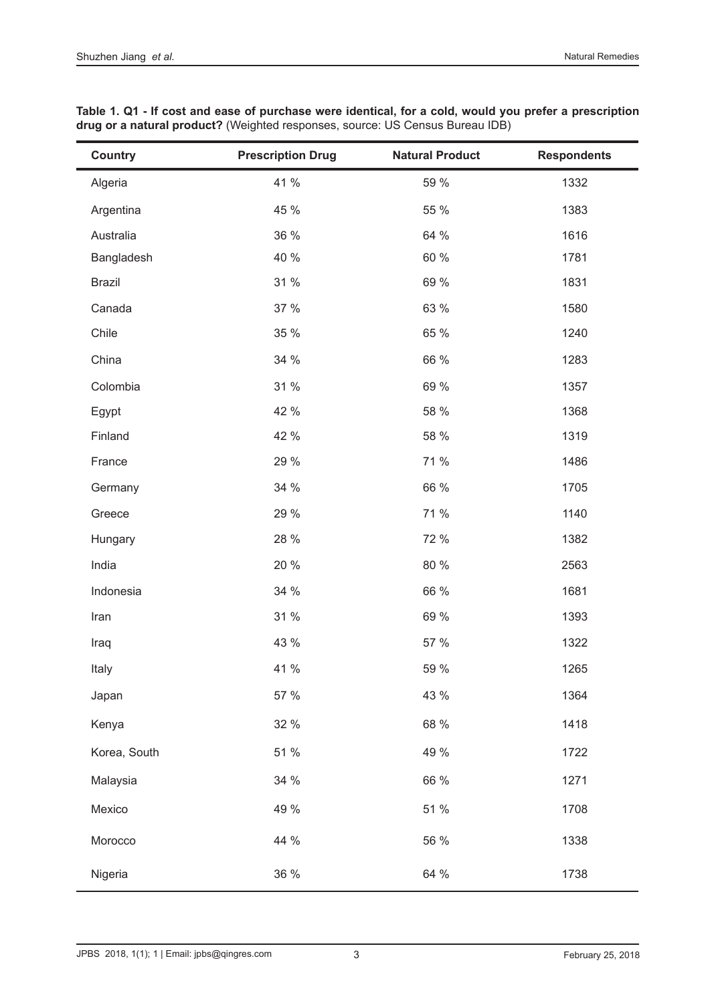| <b>Country</b> | <b>Prescription Drug</b> | <b>Natural Product</b> | <b>Respondents</b> |
|----------------|--------------------------|------------------------|--------------------|
| Algeria        | 41 %                     | 59 %                   | 1332               |
| Argentina      | 45 %                     | 55 %                   | 1383               |
| Australia      | 36 %                     | 64 %                   | 1616               |
| Bangladesh     | 40 %                     | 60 %                   | 1781               |
| <b>Brazil</b>  | 31 %                     | 69 %                   | 1831               |
| Canada         | 37 %                     | 63 %                   | 1580               |
| Chile          | 35 %                     | 65 %                   | 1240               |
| China          | 34 %                     | 66 %                   | 1283               |
| Colombia       | 31 %                     | 69 %                   | 1357               |
| Egypt          | 42 %                     | 58 %                   | 1368               |
| Finland        | 42 %                     | 58 %                   | 1319               |
| France         | 29 %                     | 71 %                   | 1486               |
| Germany        | 34 %                     | 66 %                   | 1705               |
| Greece         | 29 %                     | 71 %                   | 1140               |
| Hungary        | 28 %                     | 72 %                   | 1382               |
| India          | 20 %                     | 80 %                   | 2563               |
| Indonesia      | 34 %                     | 66 %                   | 1681               |
| Iran           | 31 %                     | 69 %                   | 1393               |
| Iraq           | 43 %                     | 57 %                   | 1322               |
| Italy          | 41 %                     | 59 %                   | 1265               |
| Japan          | 57 %                     | 43 %                   | 1364               |
| Kenya          | 32 %                     | 68 %                   | 1418               |
| Korea, South   | 51 %                     | 49 %                   | 1722               |
| Malaysia       | 34 %                     | 66 %                   | 1271               |
| Mexico         | 49 %                     | 51 %                   | 1708               |
| Morocco        | 44 %                     | 56 %                   | 1338               |
| Nigeria        | 36 %                     | 64 %                   | 1738               |

**Table 1. Q1 - If cost and ease of purchase were identical, for a cold, would you prefer a prescription drug or a natural product?** (Weighted responses, source: US Census Bureau IDB)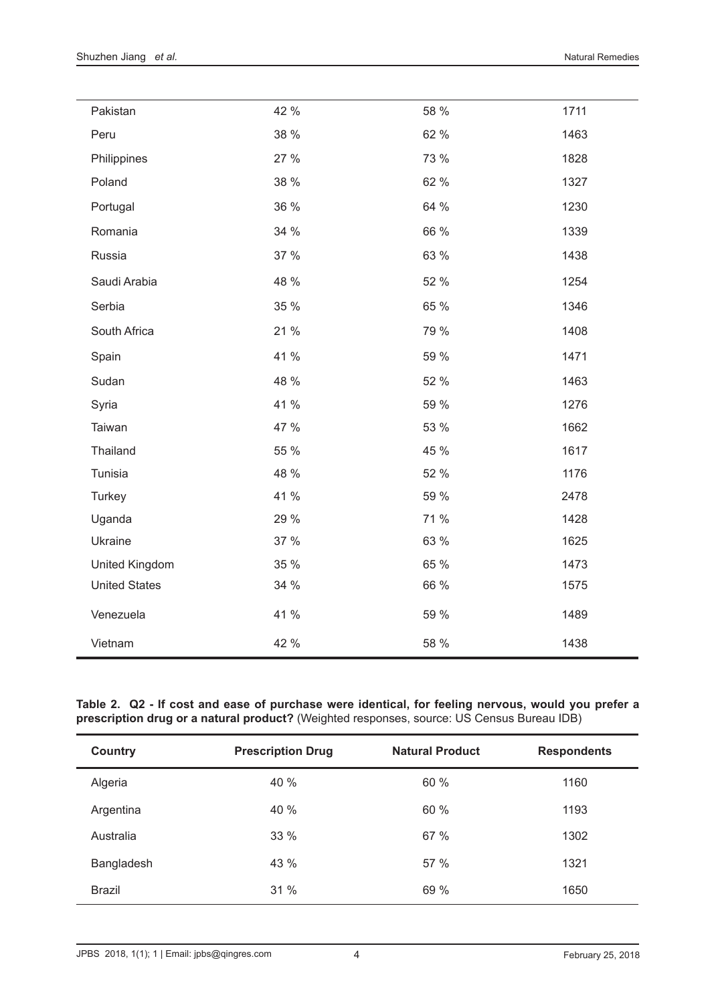$\overline{a}$ 

| Pakistan              | 42 % | 58 % | 1711 |
|-----------------------|------|------|------|
| Peru                  | 38 % | 62 % | 1463 |
| Philippines           | 27 % | 73 % | 1828 |
| Poland                | 38 % | 62 % | 1327 |
| Portugal              | 36 % | 64 % | 1230 |
| Romania               | 34 % | 66 % | 1339 |
| Russia                | 37 % | 63 % | 1438 |
| Saudi Arabia          | 48 % | 52 % | 1254 |
| Serbia                | 35 % | 65 % | 1346 |
| South Africa          | 21 % | 79 % | 1408 |
| Spain                 | 41 % | 59 % | 1471 |
| Sudan                 | 48 % | 52 % | 1463 |
| Syria                 | 41 % | 59 % | 1276 |
| Taiwan                | 47 % | 53 % | 1662 |
| Thailand              | 55 % | 45 % | 1617 |
| Tunisia               | 48 % | 52 % | 1176 |
| Turkey                | 41 % | 59 % | 2478 |
| Uganda                | 29 % | 71 % | 1428 |
| Ukraine               | 37 % | 63 % | 1625 |
| <b>United Kingdom</b> | 35 % | 65 % | 1473 |
| <b>United States</b>  | 34 % | 66 % | 1575 |
| Venezuela             | 41 % | 59 % | 1489 |
| Vietnam               | 42 % | 58 % | 1438 |

**Table 2. Q2 - If cost and ease of purchase were identical, for feeling nervous, would you prefer a prescription drug or a natural product?** (Weighted responses, source: US Census Bureau IDB)

| Country       | <b>Prescription Drug</b> | <b>Natural Product</b> | <b>Respondents</b> |
|---------------|--------------------------|------------------------|--------------------|
| Algeria       | 40 %                     | 60 %                   | 1160               |
| Argentina     | 40 %                     | 60 %                   | 1193               |
| Australia     | 33 %                     | 67 %                   | 1302               |
| Bangladesh    | 43 %                     | 57 %                   | 1321               |
| <b>Brazil</b> | 31 %                     | 69 %                   | 1650               |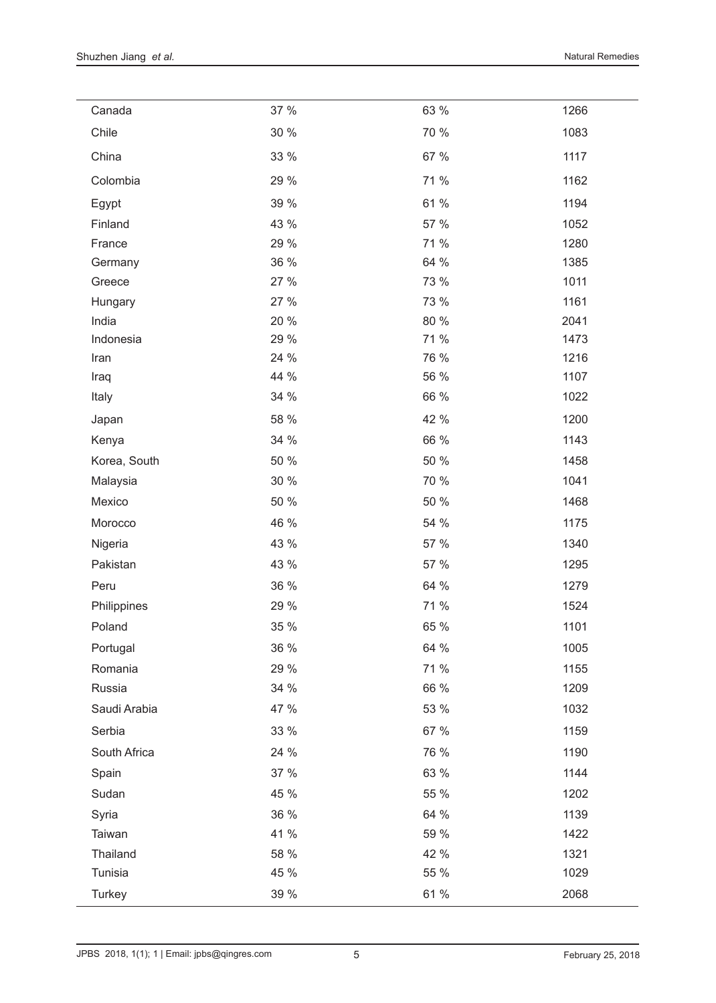$\frac{1}{2}$ 

| Canada       | 37 % | 63 % | 1266 |
|--------------|------|------|------|
| Chile        | 30 % | 70 % | 1083 |
| China        | 33 % | 67 % | 1117 |
| Colombia     | 29 % | 71 % | 1162 |
| Egypt        | 39 % | 61 % | 1194 |
| Finland      | 43 % | 57 % | 1052 |
| France       | 29 % | 71 % | 1280 |
| Germany      | 36 % | 64 % | 1385 |
| Greece       | 27 % | 73 % | 1011 |
| Hungary      | 27 % | 73 % | 1161 |
| India        | 20 % | 80 % | 2041 |
| Indonesia    | 29 % | 71 % | 1473 |
| Iran         | 24 % | 76 % | 1216 |
| Iraq         | 44 % | 56 % | 1107 |
| Italy        | 34 % | 66 % | 1022 |
| Japan        | 58 % | 42 % | 1200 |
| Kenya        | 34 % | 66 % | 1143 |
| Korea, South | 50 % | 50 % | 1458 |
| Malaysia     | 30 % | 70 % | 1041 |
| Mexico       | 50 % | 50 % | 1468 |
| Morocco      | 46 % | 54 % | 1175 |
| Nigeria      | 43 % | 57 % | 1340 |
| Pakistan     | 43 % | 57 % | 1295 |
| Peru         | 36 % | 64 % | 1279 |
| Philippines  | 29 % | 71 % | 1524 |
| Poland       | 35 % | 65 % | 1101 |
| Portugal     | 36 % | 64 % | 1005 |
| Romania      | 29 % | 71 % | 1155 |
| Russia       | 34 % | 66 % | 1209 |
| Saudi Arabia | 47 % | 53 % | 1032 |
| Serbia       | 33 % | 67 % | 1159 |
| South Africa | 24 % | 76 % | 1190 |
| Spain        | 37 % | 63 % | 1144 |
| Sudan        | 45 % | 55 % | 1202 |
| Syria        | 36 % | 64 % | 1139 |
| Taiwan       | 41 % | 59 % | 1422 |
| Thailand     | 58 % | 42 % | 1321 |
| Tunisia      | 45 % | 55 % | 1029 |
| Turkey       | 39 % | 61 % | 2068 |

 $\overline{a}$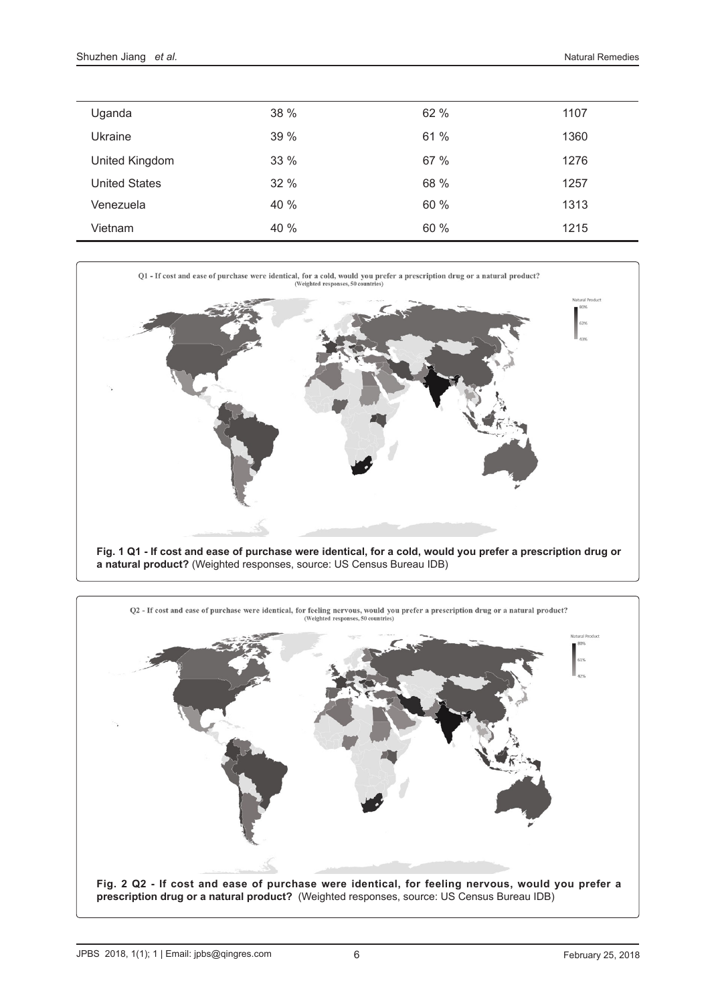| Uganda               | 38 % | 62 % | 1107 |
|----------------------|------|------|------|
| Ukraine              | 39 % | 61 % | 1360 |
| United Kingdom       | 33 % | 67 % | 1276 |
| <b>United States</b> | 32 % | 68 % | 1257 |
| Venezuela            | 40 % | 60 % | 1313 |
| Vietnam              | 40 % | 60 % | 1215 |



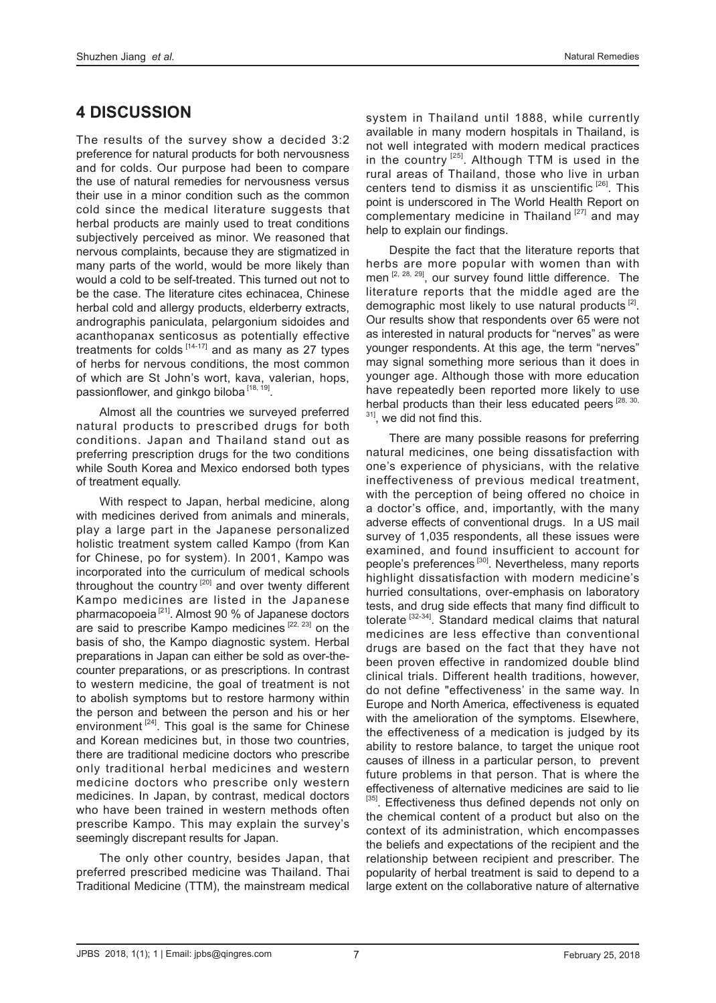# **4 DISCUSSION**

The results of the survey show a decided 3:2 preference for natural products for both nervousness and for colds. Our purpose had been to compare the use of natural remedies for nervousness versus their use in a minor condition such as the common cold since the medical literature suggests that herbal products are mainly used to treat conditions subjectively perceived as minor. We reasoned that nervous complaints, because they are stigmatized in many parts of the world, would be more likely than would a cold to be self-treated. This turned out not to be the case. The literature cites echinacea, Chinese herbal cold and allergy products, elderberry extracts, andrographis paniculata, pelargonium sidoides and acanthopanax senticosus as potentially effective treatments for colds  $[14-17]$  and as many as 27 types of herbs for nervous conditions, the most common of which are St John's wort, kava, valerian, hops, passionflower, and ginkgo biloba<sup>[18, 19]</sup>.

Almost all the countries we surveyed preferred natural products to prescribed drugs for both conditions. Japan and Thailand stand out as preferring prescription drugs for the two conditions while South Korea and Mexico endorsed both types of treatment equally.

With respect to Japan, herbal medicine, along with medicines derived from animals and minerals, play a large part in the Japanese personalized holistic treatment system called Kampo (from Kan for Chinese, po for system). In 2001, Kampo was incorporated into the curriculum of medical schools throughout the country  $[20]$  and over twenty different Kampo medicines are listed in the Japanese pharmacopoeia<sup>[21]</sup>. Almost 90 % of Japanese doctors are said to prescribe Kampo medicines [22, 23] on the basis of sho, the Kampo diagnostic system. Herbal preparations in Japan can either be sold as over-thecounter preparations, or as prescriptions. In contrast to western medicine, the goal of treatment is not to abolish symptoms but to restore harmony within the person and between the person and his or her environment  $[24]$ . This goal is the same for Chinese and Korean medicines but, in those two countries, there are traditional medicine doctors who prescribe only traditional herbal medicines and western medicine doctors who prescribe only western medicines. In Japan, by contrast, medical doctors who have been trained in western methods often prescribe Kampo. This may explain the survey's seemingly discrepant results for Japan.

The only other country, besides Japan, that preferred prescribed medicine was Thailand. Thai Traditional Medicine (TTM), the mainstream medical system in Thailand until 1888, while currently available in many modern hospitals in Thailand, is not well integrated with modern medical practices in the country  $[25]$ . Although TTM is used in the rural areas of Thailand, those who live in urban centers tend to dismiss it as unscientific  $[26]$ . This point is underscored in The World Health Report on complementary medicine in Thailand [27] and may help to explain our findings.

Despite the fact that the literature reports that herbs are more popular with women than with men [2, 28, 29], our survey found little difference. The literature reports that the middle aged are the demographic most likely to use natural products [2]. Our results show that respondents over 65 were not as interested in natural products for "nerves" as were younger respondents. At this age, the term "nerves" may signal something more serious than it does in younger age. Although those with more education have repeatedly been reported more likely to use herbal products than their less educated peers [28, 30, <sup>31]</sup>, we did not find this.

There are many possible reasons for preferring natural medicines, one being dissatisfaction with one's experience of physicians, with the relative ineffectiveness of previous medical treatment, with the perception of being offered no choice in a doctor's office, and, importantly, with the many adverse effects of conventional drugs. In a US mail survey of 1,035 respondents, all these issues were examined, and found insufficient to account for people's preferences<sup>[30]</sup>. Nevertheless, many reports highlight dissatisfaction with modern medicine's hurried consultations, over-emphasis on laboratory tests, and drug side effects that many find difficult to tolerate [32-34]. Standard medical claims that natural medicines are less effective than conventional drugs are based on the fact that they have not been proven effective in randomized double blind clinical trials. Different health traditions, however, do not define "effectiveness' in the same way. In Europe and North America, effectiveness is equated with the amelioration of the symptoms. Elsewhere, the effectiveness of a medication is judged by its ability to restore balance, to target the unique root causes of illness in a particular person, to prevent future problems in that person. That is where the effectiveness of alternative medicines are said to lie [35]. Effectiveness thus defined depends not only on the chemical content of a product but also on the context of its administration, which encompasses the beliefs and expectations of the recipient and the relationship between recipient and prescriber. The popularity of herbal treatment is said to depend to a large extent on the collaborative nature of alternative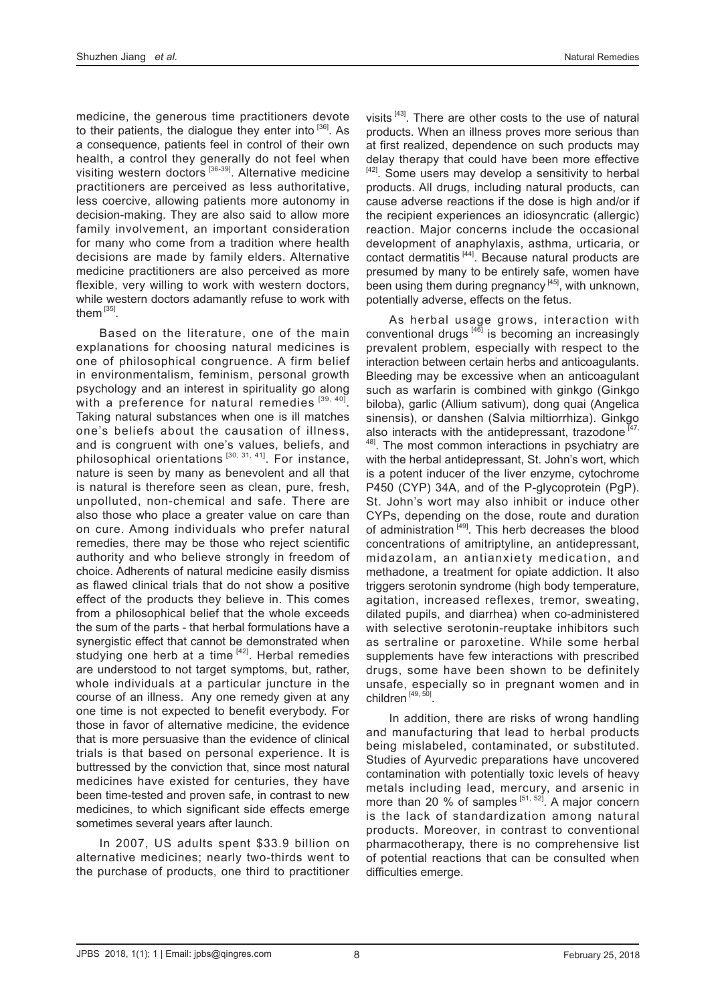medicine, the generous time practitioners devote to their patients, the dialogue they enter into  $[36]$ . As a consequence, patients feel in control of their own health, a control they generally do not feel when visiting western doctors [36-39]. Alternative medicine practitioners are perceived as less authoritative, less coercive, allowing patients more autonomy in decision-making. They are also said to allow more family involvement, an important consideration for many who come from a tradition where health decisions are made by family elders. Alternative medicine practitioners are also perceived as more flexible, very willing to work with western doctors, while western doctors adamantly refuse to work with them<sup>[35]</sup>

Based on the literature, one of the main explanations for choosing natural medicines is one of philosophical congruence. A firm belief in environmentalism, feminism, personal growth psychology and an interest in spirituality go along with a preference for natural remedies  $[39, 40]$ . Taking natural substances when one is ill matches one's beliefs about the causation of illness, and is congruent with one's values, beliefs, and philosophical orientations<sup>[30, 31, 41]</sup>. For instance, nature is seen by many as benevolent and all that is natural is therefore seen as clean, pure, fresh, unpolluted, non-chemical and safe. There are also those who place a greater value on care than on cure. Among individuals who prefer natural remedies, there may be those who reject scientific authority and who believe strongly in freedom of choice. Adherents of natural medicine easily dismiss as flawed clinical trials that do not show a positive effect of the products they believe in. This comes from a philosophical belief that the whole exceeds the sum of the parts - that herbal formulations have a synergistic effect that cannot be demonstrated when studying one herb at a time  $[42]$ . Herbal remedies are understood to not target symptoms, but, rather, whole individuals at a particular juncture in the course of an illness. Any one remedy given at any one time is not expected to benefit everybody. For those in favor of alternative medicine, the evidence that is more persuasive than the evidence of clinical trials is that based on personal experience. It is buttressed by the conviction that, since most natural medicines have existed for centuries, they have been time-tested and proven safe, in contrast to new medicines, to which significant side effects emerge sometimes several years after launch.

In 2007, US adults spent \$33.9 billion on alternative medicines; nearly two-thirds went to the purchase of products, one third to practitioner visits [43]. There are other costs to the use of natural products. When an illness proves more serious than at first realized, dependence on such products may delay therapy that could have been more effective  $[42]$ . Some users may develop a sensitivity to herbal products. All drugs, including natural products, can cause adverse reactions if the dose is high and/or if the recipient experiences an idiosyncratic (allergic) reaction. Major concerns include the occasional development of anaphylaxis, asthma, urticaria, or contact dermatitis [44]. Because natural products are presumed by many to be entirely safe, women have been using them during pregnancy<sup>[45]</sup>, with unknown, potentially adverse, effects on the fetus.

As herbal usage grows, interaction with conventional drugs  $[46]$  is becoming an increasingly prevalent problem, especially with respect to the interaction between certain herbs and anticoagulants. Bleeding may be excessive when an anticoagulant such as warfarin is combined with ginkgo (Ginkgo biloba), garlic (Allium sativum), dong quai (Angelica sinensis), or danshen (Salvia miltiorrhiza). Ginkgo also interacts with the antidepressant, trazodone  $147$ , <sup>48]</sup>. The most common interactions in psychiatry are with the herbal antidepressant, St. John's wort, which is a potent inducer of the liver enzyme, cytochrome P450 (CYP) 34A, and of the P-glycoprotein (PgP). St. John's wort may also inhibit or induce other CYPs, depending on the dose, route and duration of administration<sup>[49]</sup>. This herb decreases the blood concentrations of amitriptyline, an antidepressant, midazolam, an antianxiety medication, and methadone, a treatment for opiate addiction. It also triggers serotonin syndrome (high body temperature, agitation, increased reflexes, tremor, sweating, dilated pupils, and diarrhea) when co-administered with selective serotonin-reuptake inhibitors such as sertraline or paroxetine. While some herbal supplements have few interactions with prescribed drugs, some have been shown to be definitely unsafe, especially so in pregnant women and in children [49, 50].

In addition, there are risks of wrong handling and manufacturing that lead to herbal products being mislabeled, contaminated, or substituted. Studies of Ayurvedic preparations have uncovered contamination with potentially toxic levels of heavy metals including lead, mercury, and arsenic in more than 20  $%$  of samples  $[51, 52]$ . A major concern is the lack of standardization among natural products. Moreover, in contrast to conventional pharmacotherapy, there is no comprehensive list of potential reactions that can be consulted when difficulties emerge.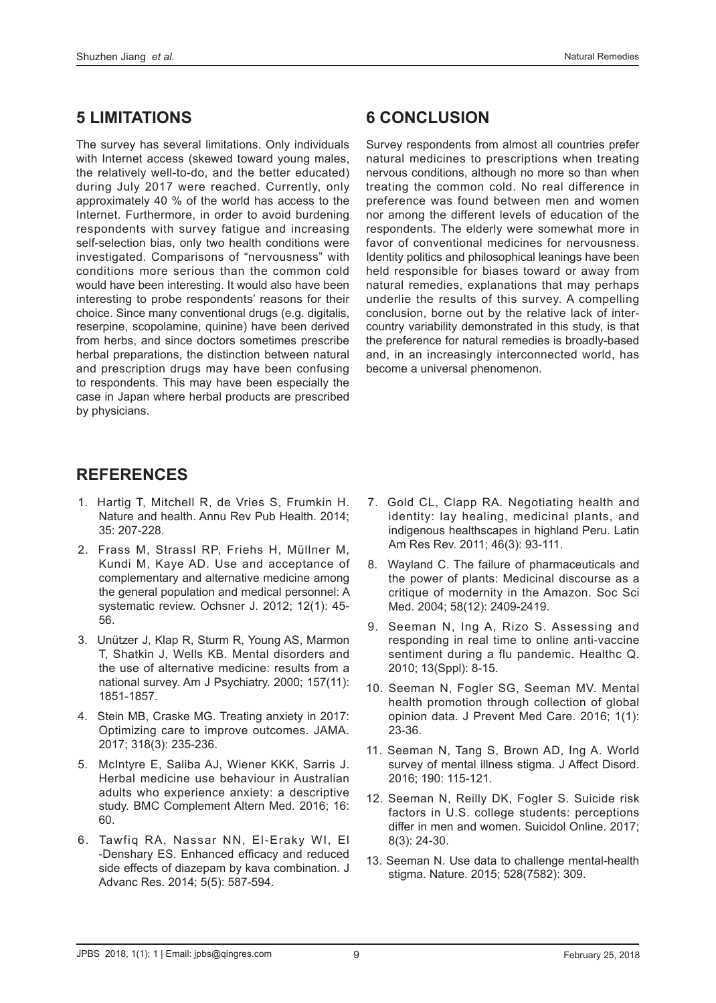## **5 LIMITATIONS**

The survey has several limitations. Only individuals with Internet access (skewed toward young males, the relatively well-to-do, and the better educated) during July 2017 were reached. Currently, only approximately 40 % of the world has access to the Internet. Furthermore, in order to avoid burdening respondents with survey fatigue and increasing self-selection bias, only two health conditions were investigated. Comparisons of "nervousness" with conditions more serious than the common cold would have been interesting. It would also have been interesting to probe respondents' reasons for their choice. Since many conventional drugs (e.g. digitalis, reserpine, scopolamine, quinine) have been derived from herbs, and since doctors sometimes prescribe herbal preparations, the distinction between natural and prescription drugs may have been confusing to respondents. This may have been especially the case in Japan where herbal products are prescribed by physicians.

# **6 CONCLUSION**

Survey respondents from almost all countries prefer natural medicines to prescriptions when treating nervous conditions, although no more so than when treating the common cold. No real difference in preference was found between men and women nor among the different levels of education of the respondents. The elderly were somewhat more in favor of conventional medicines for nervousness. Identity politics and philosophical leanings have been held responsible for biases toward or away from natural remedies, explanations that may perhaps underlie the results of this survey. A compelling conclusion, borne out by the relative lack of intercountry variability demonstrated in this study, is that the preference for natural remedies is broadly-based and, in an increasingly interconnected world, has become a universal phenomenon.

# **REFERENCES**

- 1. Hartig T, Mitchell R, de Vries S, Frumkin H. Nature and health. Annu Rev Pub Health. 2014; 35: 207-228.
- 2. Frass M, Strassl RP, Friehs H, Müllner M, Kundi M, Kaye AD. Use and acceptance of complementary and alternative medicine among the general population and medical personnel: A systematic review. Ochsner J. 2012; 12(1): 45- 56.
- 3. Unützer J, Klap R, Sturm R, Young AS, Marmon T, Shatkin J, Wells KB. Mental disorders and the use of alternative medicine: results from a national survey. Am J Psychiatry. 2000; 157(11): 1851-1857.
- 4. Stein MB, Craske MG. Treating anxiety in 2017: Optimizing care to improve outcomes. JAMA. 2017; 318(3): 235-236.
- 5. McIntyre E, Saliba AJ, Wiener KKK, Sarris J. Herbal medicine use behaviour in Australian adults who experience anxiety: a descriptive study. BMC Complement Altern Med. 2016; 16: 60.
- 6. Tawfiq RA, Nassar NN, El-Eraky WI, El -Denshary ES. Enhanced efficacy and reduced side effects of diazepam by kava combination. J Advanc Res. 2014; 5(5): 587-594.
- 7. Gold CL, Clapp RA. Negotiating health and identity: lay healing, medicinal plants, and indigenous healthscapes in highland Peru. Latin Am Res Rev. 2011; 46(3): 93-111.
- 8. Wayland C. The failure of pharmaceuticals and the power of plants: Medicinal discourse as a critique of modernity in the Amazon. Soc Sci Med. 2004; 58(12): 2409-2419.
- 9. Seeman N, Ing A, Rizo S. Assessing and responding in real time to online anti-vaccine sentiment during a flu pandemic. Healthc Q. 2010; 13(Sppl): 8-15.
- 10. Seeman N, Fogler SG, Seeman MV. Mental health promotion through collection of global opinion data. J Prevent Med Care. 2016; 1(1): 23-36.
- 11. Seeman N, Tang S, Brown AD, Ing A. World survey of mental illness stigma. J Affect Disord. 2016; 190: 115-121.
- 12. Seeman N, Reilly DK, Fogler S. Suicide risk factors in U.S. college students: perceptions differ in men and women. Suicidol Online. 2017; 8(3): 24-30.
- 13. Seeman N. Use data to challenge mental-health stigma. Nature. 2015; 528(7582): 309.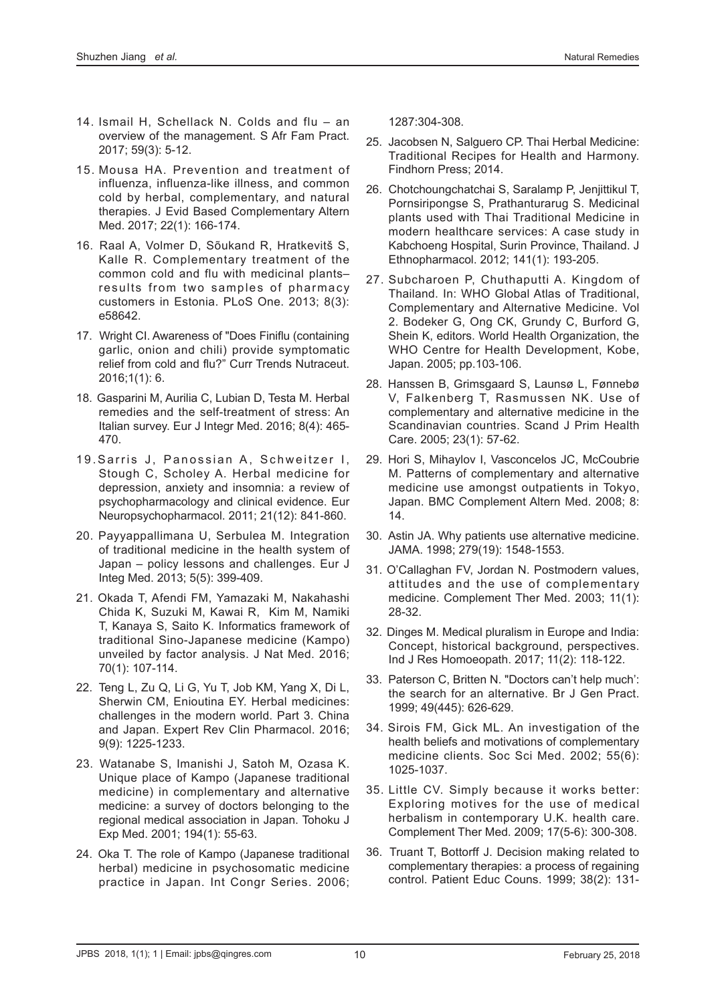- 14. Ismail H, Schellack N. Colds and flu an overview of the management. S Afr Fam Pract. 2017; 59(3): 5-12.
- 15. Mousa HA. Prevention and treatment of influenza, influenza-like illness, and common cold by herbal, complementary, and natural therapies. J Evid Based Complementary Altern Med. 2017; 22(1): 166-174.
- 16. Raal A, Volmer D, Sõukand R, Hratkevitš S, Kalle R. Complementary treatment of the common cold and flu with medicinal plants– results from two samples of pharmacy customers in Estonia. PLoS One. 2013; 8(3): e58642.
- 17. Wright CI. Awareness of "Does Finiflu (containing garlic, onion and chili) provide symptomatic relief from cold and flu?" Curr Trends Nutraceut. 2016;1(1): 6.
- 18. Gasparini M, Aurilia C, Lubian D, Testa M. Herbal remedies and the self-treatment of stress: An Italian survey. Eur J Integr Med. 2016; 8(4): 465- 470.
- 19. Sarris J, Panossian A, Schweitzer I, Stough C, Scholey A. Herbal medicine for depression, anxiety and insomnia: a review of psychopharmacology and clinical evidence. Eur Neuropsychopharmacol. 2011; 21(12): 841-860.
- 20. Payyappallimana U, Serbulea M. Integration of traditional medicine in the health system of Japan – policy lessons and challenges. Eur J Integ Med. 2013; 5(5): 399-409.
- 21. Okada T, Afendi FM, Yamazaki M, Nakahashi Chida K, Suzuki M, Kawai R, Kim M, Namiki T, Kanaya S, Saito K. Informatics framework of traditional Sino-Japanese medicine (Kampo) unveiled by factor analysis. J Nat Med. 2016; 70(1): 107-114.
- 22. Teng L, Zu Q, Li G, Yu T, Job KM, Yang X, Di L, Sherwin CM, Enioutina EY. Herbal medicines: challenges in the modern world. Part 3. China and Japan. Expert Rev Clin Pharmacol. 2016; 9(9): 1225-1233.
- 23. Watanabe S, Imanishi J, Satoh M, Ozasa K. Unique place of Kampo (Japanese traditional medicine) in complementary and alternative medicine: a survey of doctors belonging to the regional medical association in Japan. Tohoku J Exp Med. 2001; 194(1): 55-63.
- 24. Oka T. The role of Kampo (Japanese traditional herbal) medicine in psychosomatic medicine practice in Japan. Int Congr Series. 2006;

1287:304-308.

- 25. Jacobsen N, Salguero CP. Thai Herbal Medicine: Traditional Recipes for Health and Harmony. Findhorn Press; 2014.
- 26. Chotchoungchatchai S, Saralamp P, Jenjittikul T, Pornsiripongse S, Prathanturarug S. Medicinal plants used with Thai Traditional Medicine in modern healthcare services: A case study in Kabchoeng Hospital, Surin Province, Thailand. J Ethnopharmacol. 2012; 141(1): 193-205.
- 27. Subcharoen P, Chuthaputti A. Kingdom of Thailand. In: WHO Global Atlas of Traditional, Complementary and Alternative Medicine. Vol 2. Bodeker G, Ong CK, Grundy C, Burford G, Shein K, editors. World Health Organization, the WHO Centre for Health Development, Kobe, Japan. 2005; pp.103-106.
- 28. Hanssen B, Grimsgaard S, Launsø L, Fønnebø V, Falkenberg T, Rasmussen NK. Use of complementary and alternative medicine in the Scandinavian countries. Scand J Prim Health Care. 2005; 23(1): 57-62.
- 29. Hori S, Mihaylov I, Vasconcelos JC, McCoubrie M. Patterns of complementary and alternative medicine use amongst outpatients in Tokyo, Japan. BMC Complement Altern Med. 2008; 8: 14.
- 30. Astin JA. Why patients use alternative medicine. JAMA. 1998; 279(19): 1548-1553.
- 31. O'Callaghan FV, Jordan N. Postmodern values, attitudes and the use of complementary medicine. Complement Ther Med. 2003; 11(1): 28-32.
- 32. Dinges M. Medical pluralism in Europe and India: Concept, historical background, perspectives. Ind J Res Homoeopath. 2017; 11(2): 118-122.
- 33. Paterson C, Britten N. "Doctors can't help much': the search for an alternative. Br J Gen Pract. 1999; 49(445): 626-629.
- 34. Sirois FM, Gick ML. An investigation of the health beliefs and motivations of complementary medicine clients. Soc Sci Med. 2002; 55(6): 1025-1037.
- 35. Little CV. Simply because it works better: Exploring motives for the use of medical herbalism in contemporary U.K. health care. Complement Ther Med. 2009; 17(5-6): 300-308.
- 36. Truant T, Bottorff J. Decision making related to complementary therapies: a process of regaining control. Patient Educ Couns. 1999; 38(2): 131-